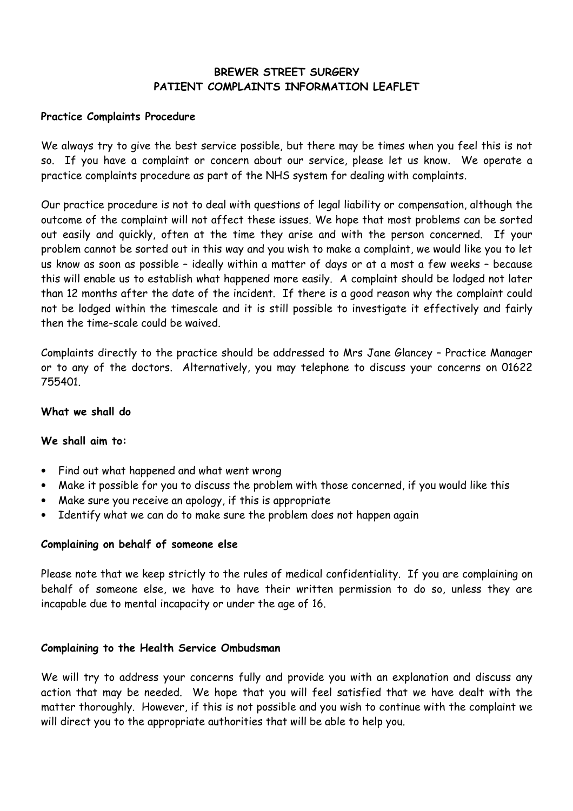# **BREWER STREET SURGERY PATIENT COMPLAINTS INFORMATION LEAFLET**

#### **Practice Complaints Procedure**

We always try to give the best service possible, but there may be times when you feel this is not so. If you have a complaint or concern about our service, please let us know. We operate a practice complaints procedure as part of the NHS system for dealing with complaints.

Our practice procedure is not to deal with questions of legal liability or compensation, although the outcome of the complaint will not affect these issues. We hope that most problems can be sorted out easily and quickly, often at the time they arise and with the person concerned. If your problem cannot be sorted out in this way and you wish to make a complaint, we would like you to let us know as soon as possible – ideally within a matter of days or at a most a few weeks – because this will enable us to establish what happened more easily. A complaint should be lodged not later than 12 months after the date of the incident. If there is a good reason why the complaint could not be lodged within the timescale and it is still possible to investigate it effectively and fairly then the time-scale could be waived.

Complaints directly to the practice should be addressed to Mrs Jane Glancey – Practice Manager or to any of the doctors. Alternatively, you may telephone to discuss your concerns on 01622 755401.

#### **What we shall do**

# **We shall aim to:**

- Find out what happened and what went wrong
- Make it possible for you to discuss the problem with those concerned, if you would like this
- Make sure you receive an apology, if this is appropriate
- Identify what we can do to make sure the problem does not happen again

# **Complaining on behalf of someone else**

Please note that we keep strictly to the rules of medical confidentiality. If you are complaining on behalf of someone else, we have to have their written permission to do so, unless they are incapable due to mental incapacity or under the age of 16.

# **Complaining to the Health Service Ombudsman**

We will try to address your concerns fully and provide you with an explanation and discuss any action that may be needed. We hope that you will feel satisfied that we have dealt with the matter thoroughly. However, if this is not possible and you wish to continue with the complaint we will direct you to the appropriate authorities that will be able to help you.